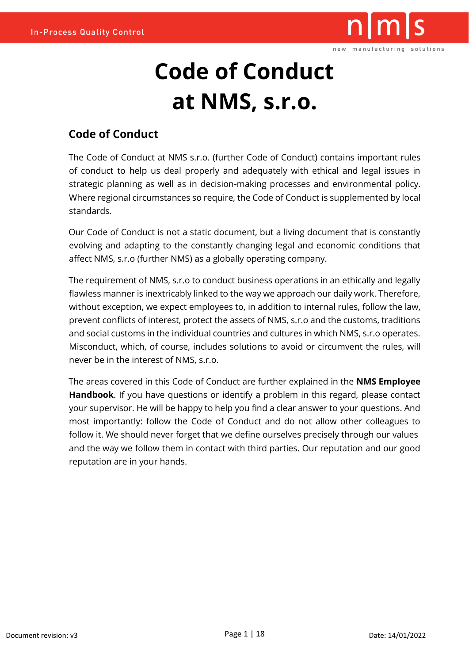

# **Code of Conduct at NMS, s.r.o.**

### **Code of Conduct**

The Code of Conduct at NMS s.r.o. (further Code of Conduct) contains important rules of conduct to help us deal properly and adequately with ethical and legal issues in strategic planning as well as in decision-making processes and environmental policy. Where regional circumstances so require, the Code of Conduct is supplemented by local standards.

Our Code of Conduct is not a static document, but a living document that is constantly evolving and adapting to the constantly changing legal and economic conditions that affect NMS, s.r.o (further NMS) as a globally operating company.

The requirement of NMS, s.r.o to conduct business operations in an ethically and legally flawless manner is inextricably linked to the way we approach our daily work. Therefore, without exception, we expect employees to, in addition to internal rules, follow the law, prevent conflicts of interest, protect the assets of NMS, s.r.o and the customs, traditions and social customs in the individual countries and cultures in which NMS, s.r.o operates. Misconduct, which, of course, includes solutions to avoid or circumvent the rules, will never be in the interest of NMS, s.r.o.

The areas covered in this Code of Conduct are further explained in the **NMS Employee Handbook**. If you have questions or identify a problem in this regard, please contact your supervisor. He will be happy to help you find a clear answer to your questions. And most importantly: follow the Code of Conduct and do not allow other colleagues to follow it. We should never forget that we define ourselves precisely through our values and the way we follow them in contact with third parties. Our reputation and our good reputation are in your hands.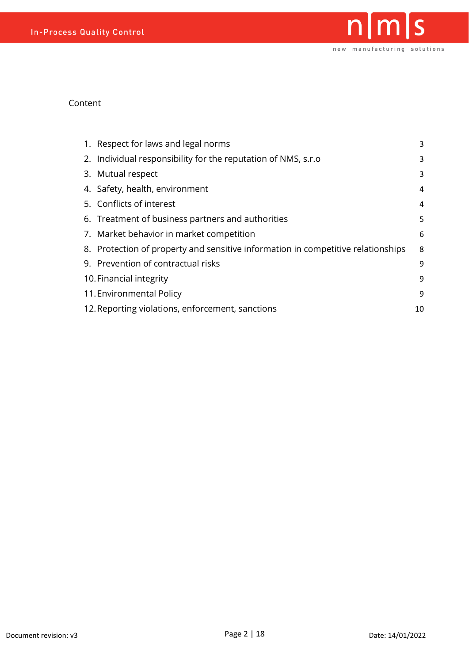

#### Content

| 1. Respect for laws and legal norms                                              | 3  |
|----------------------------------------------------------------------------------|----|
| 2. Individual responsibility for the reputation of NMS, s.r.o                    | 3  |
| 3. Mutual respect                                                                | 3  |
| 4. Safety, health, environment                                                   | 4  |
| 5. Conflicts of interest                                                         | 4  |
| 6. Treatment of business partners and authorities                                | 5  |
| 7. Market behavior in market competition                                         | 6  |
| 8. Protection of property and sensitive information in competitive relationships | 8  |
| 9. Prevention of contractual risks                                               | 9  |
| 10. Financial integrity                                                          | 9  |
| 11. Environmental Policy                                                         | 9  |
| 12. Reporting violations, enforcement, sanctions                                 | 10 |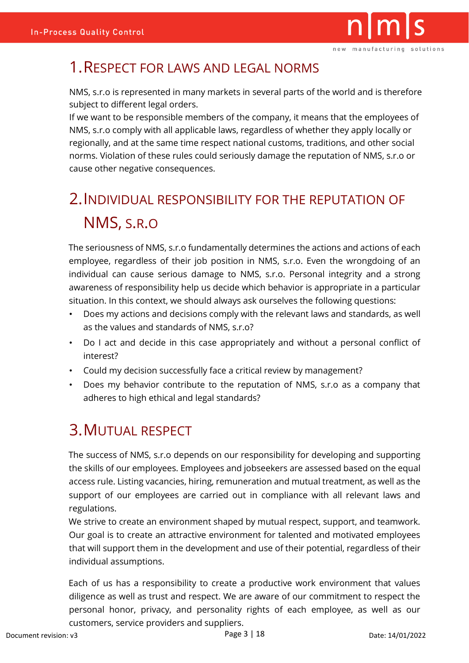

# <span id="page-2-0"></span>1.RESPECT FOR LAWS AND LEGAL NORMS

NMS, s.r.o is represented in many markets in several parts of the world and is therefore subject to different legal orders.

If we want to be responsible members of the company, it means that the employees of NMS, s.r.o comply with all applicable laws, regardless of whether they apply locally or regionally, and at the same time respect national customs, traditions, and other social norms. Violation of these rules could seriously damage the reputation of NMS, s.r.o or cause other negative consequences.

# <span id="page-2-1"></span>2.INDIVIDUAL RESPONSIBILITY FOR THE REPUTATION OF NMS, S.R.O

The seriousness of NMS, s.r.o fundamentally determines the actions and actions of each employee, regardless of their job position in NMS, s.r.o. Even the wrongdoing of an individual can cause serious damage to NMS, s.r.o. Personal integrity and a strong awareness of responsibility help us decide which behavior is appropriate in a particular situation. In this context, we should always ask ourselves the following questions:

- Does my actions and decisions comply with the relevant laws and standards, as well as the values and standards of NMS, s.r.o?
- Do I act and decide in this case appropriately and without a personal conflict of interest?
- Could my decision successfully face a critical review by management?
- Does my behavior contribute to the reputation of NMS, s.r.o as a company that adheres to high ethical and legal standards?

# <span id="page-2-2"></span>3.MUTUAL RESPECT

The success of NMS, s.r.o depends on our responsibility for developing and supporting the skills of our employees. Employees and jobseekers are assessed based on the equal access rule. Listing vacancies, hiring, remuneration and mutual treatment, as well as the support of our employees are carried out in compliance with all relevant laws and regulations.

We strive to create an environment shaped by mutual respect, support, and teamwork. Our goal is to create an attractive environment for talented and motivated employees that will support them in the development and use of their potential, regardless of their individual assumptions.

Each of us has a responsibility to create a productive work environment that values diligence as well as trust and respect. We are aware of our commitment to respect the personal honor, privacy, and personality rights of each employee, as well as our customers, service providers and suppliers.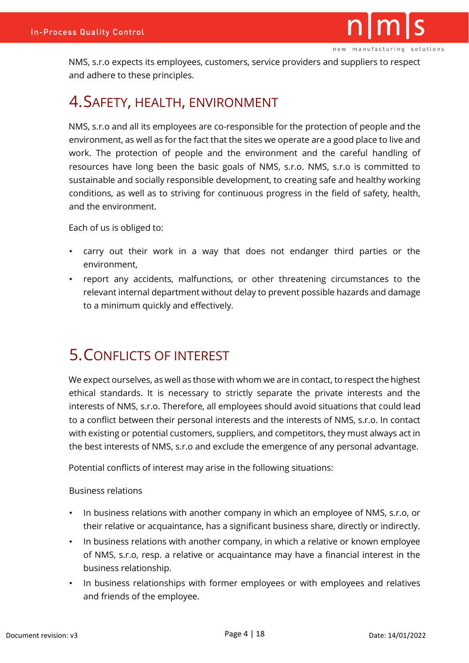

NMS, s.r.o expects its employees, customers, service providers and suppliers to respect and adhere to these principles.

### <span id="page-3-0"></span>4.SAFETY, HEALTH, ENVIRONMENT

NMS, s.r.o and all its employees are co-responsible for the protection of people and the environment, as well as for the fact that the sites we operate are a good place to live and work. The protection of people and the environment and the careful handling of resources have long been the basic goals of NMS, s.r.o. NMS, s.r.o is committed to sustainable and socially responsible development, to creating safe and healthy working conditions, as well as to striving for continuous progress in the field of safety, health, and the environment.

Each of us is obliged to:

- carry out their work in a way that does not endanger third parties or the environment,
- report any accidents, malfunctions, or other threatening circumstances to the relevant internal department without delay to prevent possible hazards and damage to a minimum quickly and effectively.

# <span id="page-3-1"></span>5.CONFLICTS OF INTEREST

We expect ourselves, as well as those with whom we are in contact, to respect the highest ethical standards. It is necessary to strictly separate the private interests and the interests of NMS, s.r.o. Therefore, all employees should avoid situations that could lead to a conflict between their personal interests and the interests of NMS, s.r.o. In contact with existing or potential customers, suppliers, and competitors, they must always act in the best interests of NMS, s.r.o and exclude the emergence of any personal advantage.

Potential conflicts of interest may arise in the following situations:

Business relations

- In business relations with another company in which an employee of NMS, s.r.o, or their relative or acquaintance, has a significant business share, directly or indirectly.
- In business relations with another company, in which a relative or known employee of NMS, s.r.o, resp. a relative or acquaintance may have a financial interest in the business relationship.
- In business relationships with former employees or with employees and relatives and friends of the employee.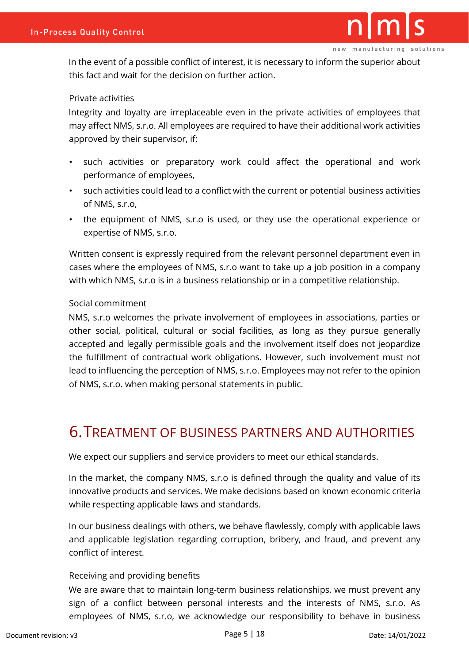In the event of a possible conflict of interest, it is necessary to inform the superior about this fact and wait for the decision on further action.

#### Private activities

Integrity and loyalty are irreplaceable even in the private activities of employees that may affect NMS, s.r.o. All employees are required to have their additional work activities approved by their supervisor, if:

- such activities or preparatory work could affect the operational and work performance of employees,
- such activities could lead to a conflict with the current or potential business activities of NMS, s.r.o,
- the equipment of NMS, s.r.o is used, or they use the operational experience or expertise of NMS, s.r.o.

Written consent is expressly required from the relevant personnel department even in cases where the employees of NMS, s.r.o want to take up a job position in a company with which NMS, s.r.o is in a business relationship or in a competitive relationship.

#### Social commitment

NMS, s.r.o welcomes the private involvement of employees in associations, parties or other social, political, cultural or social facilities, as long as they pursue generally accepted and legally permissible goals and the involvement itself does not jeopardize the fulfillment of contractual work obligations. However, such involvement must not lead to influencing the perception of NMS, s.r.o. Employees may not refer to the opinion of NMS, s.r.o. when making personal statements in public.

### <span id="page-4-0"></span>6.TREATMENT OF BUSINESS PARTNERS AND AUTHORITIES

We expect our suppliers and service providers to meet our ethical standards.

In the market, the company NMS, s.r.o is defined through the quality and value of its innovative products and services. We make decisions based on known economic criteria while respecting applicable laws and standards.

In our business dealings with others, we behave flawlessly, comply with applicable laws and applicable legislation regarding corruption, bribery, and fraud, and prevent any conflict of interest.

#### Receiving and providing benefits

We are aware that to maintain long-term business relationships, we must prevent any sign of a conflict between personal interests and the interests of NMS, s.r.o. As employees of NMS, s.r.o, we acknowledge our responsibility to behave in business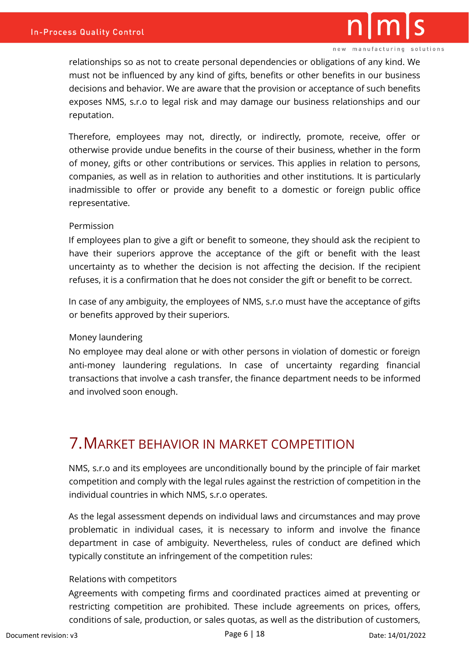

relationships so as not to create personal dependencies or obligations of any kind. We must not be influenced by any kind of gifts, benefits or other benefits in our business decisions and behavior. We are aware that the provision or acceptance of such benefits exposes NMS, s.r.o to legal risk and may damage our business relationships and our reputation.

Therefore, employees may not, directly, or indirectly, promote, receive, offer or otherwise provide undue benefits in the course of their business, whether in the form of money, gifts or other contributions or services. This applies in relation to persons, companies, as well as in relation to authorities and other institutions. It is particularly inadmissible to offer or provide any benefit to a domestic or foreign public office representative.

#### Permission

If employees plan to give a gift or benefit to someone, they should ask the recipient to have their superiors approve the acceptance of the gift or benefit with the least uncertainty as to whether the decision is not affecting the decision. If the recipient refuses, it is a confirmation that he does not consider the gift or benefit to be correct.

In case of any ambiguity, the employees of NMS, s.r.o must have the acceptance of gifts or benefits approved by their superiors.

#### Money laundering

No employee may deal alone or with other persons in violation of domestic or foreign anti-money laundering regulations. In case of uncertainty regarding financial transactions that involve a cash transfer, the finance department needs to be informed and involved soon enough.

### <span id="page-5-0"></span>7.MARKET BEHAVIOR IN MARKET COMPETITION

NMS, s.r.o and its employees are unconditionally bound by the principle of fair market competition and comply with the legal rules against the restriction of competition in the individual countries in which NMS, s.r.o operates.

As the legal assessment depends on individual laws and circumstances and may prove problematic in individual cases, it is necessary to inform and involve the finance department in case of ambiguity. Nevertheless, rules of conduct are defined which typically constitute an infringement of the competition rules:

#### Relations with competitors

Agreements with competing firms and coordinated practices aimed at preventing or restricting competition are prohibited. These include agreements on prices, offers, conditions of sale, production, or sales quotas, as well as the distribution of customers,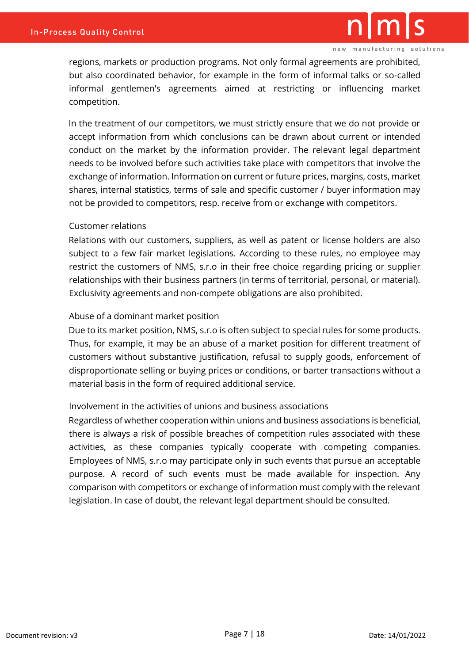regions, markets or production programs. Not only formal agreements are prohibited, but also coordinated behavior, for example in the form of informal talks or so-called informal gentlemen's agreements aimed at restricting or influencing market competition.

In the treatment of our competitors, we must strictly ensure that we do not provide or accept information from which conclusions can be drawn about current or intended conduct on the market by the information provider. The relevant legal department needs to be involved before such activities take place with competitors that involve the exchange of information. Information on current or future prices, margins, costs, market shares, internal statistics, terms of sale and specific customer / buyer information may not be provided to competitors, resp. receive from or exchange with competitors.

#### Customer relations

Relations with our customers, suppliers, as well as patent or license holders are also subject to a few fair market legislations. According to these rules, no employee may restrict the customers of NMS, s.r.o in their free choice regarding pricing or supplier relationships with their business partners (in terms of territorial, personal, or material). Exclusivity agreements and non-compete obligations are also prohibited.

#### Abuse of a dominant market position

Due to its market position, NMS, s.r.o is often subject to special rules for some products. Thus, for example, it may be an abuse of a market position for different treatment of customers without substantive justification, refusal to supply goods, enforcement of disproportionate selling or buying prices or conditions, or barter transactions without a material basis in the form of required additional service.

#### Involvement in the activities of unions and business associations

Regardless of whether cooperation within unions and business associations is beneficial, there is always a risk of possible breaches of competition rules associated with these activities, as these companies typically cooperate with competing companies. Employees of NMS, s.r.o may participate only in such events that pursue an acceptable purpose. A record of such events must be made available for inspection. Any comparison with competitors or exchange of information must comply with the relevant legislation. In case of doubt, the relevant legal department should be consulted.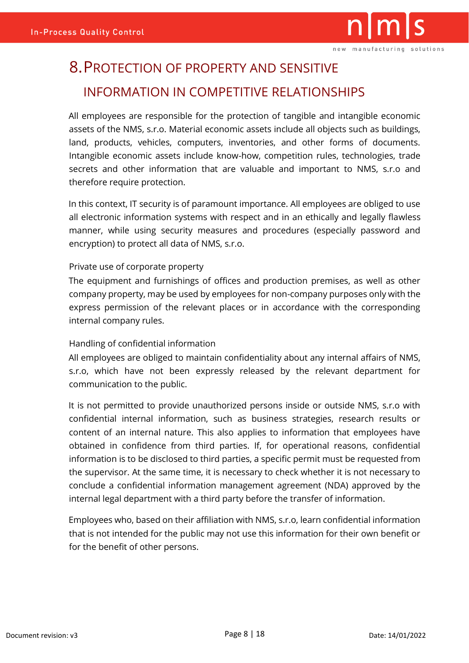# <span id="page-7-0"></span>8.PROTECTION OF PROPERTY AND SENSITIVE INFORMATION IN COMPETITIVE RELATIONSHIPS

All employees are responsible for the protection of tangible and intangible economic assets of the NMS, s.r.o. Material economic assets include all objects such as buildings, land, products, vehicles, computers, inventories, and other forms of documents. Intangible economic assets include know-how, competition rules, technologies, trade secrets and other information that are valuable and important to NMS, s.r.o and therefore require protection.

In this context, IT security is of paramount importance. All employees are obliged to use all electronic information systems with respect and in an ethically and legally flawless manner, while using security measures and procedures (especially password and encryption) to protect all data of NMS, s.r.o.

#### Private use of corporate property

The equipment and furnishings of offices and production premises, as well as other company property, may be used by employees for non-company purposes only with the express permission of the relevant places or in accordance with the corresponding internal company rules.

#### Handling of confidential information

All employees are obliged to maintain confidentiality about any internal affairs of NMS, s.r.o, which have not been expressly released by the relevant department for communication to the public.

It is not permitted to provide unauthorized persons inside or outside NMS, s.r.o with confidential internal information, such as business strategies, research results or content of an internal nature. This also applies to information that employees have obtained in confidence from third parties. If, for operational reasons, confidential information is to be disclosed to third parties, a specific permit must be requested from the supervisor. At the same time, it is necessary to check whether it is not necessary to conclude a confidential information management agreement (NDA) approved by the internal legal department with a third party before the transfer of information.

Employees who, based on their affiliation with NMS, s.r.o, learn confidential information that is not intended for the public may not use this information for their own benefit or for the benefit of other persons.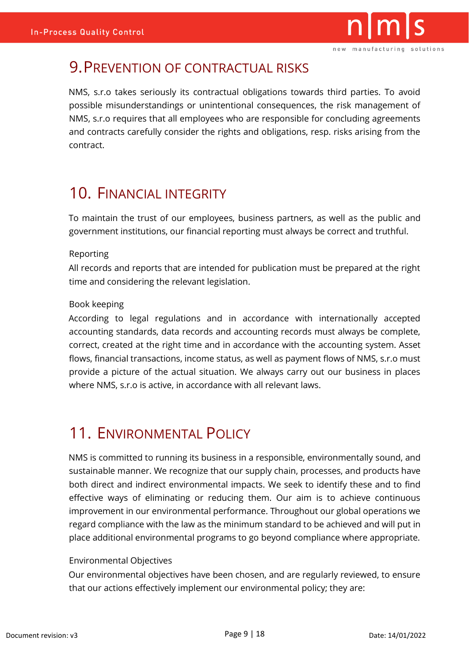

## <span id="page-8-0"></span>9.PREVENTION OF CONTRACTUAL RISKS

NMS, s.r.o takes seriously its contractual obligations towards third parties. To avoid possible misunderstandings or unintentional consequences, the risk management of NMS, s.r.o requires that all employees who are responsible for concluding agreements and contracts carefully consider the rights and obligations, resp. risks arising from the contract.

# <span id="page-8-1"></span>10. FINANCIAL INTEGRITY

To maintain the trust of our employees, business partners, as well as the public and government institutions, our financial reporting must always be correct and truthful.

#### Reporting

All records and reports that are intended for publication must be prepared at the right time and considering the relevant legislation.

#### Book keeping

According to legal regulations and in accordance with internationally accepted accounting standards, data records and accounting records must always be complete, correct, created at the right time and in accordance with the accounting system. Asset flows, financial transactions, income status, as well as payment flows of NMS, s.r.o must provide a picture of the actual situation. We always carry out our business in places where NMS, s.r.o is active, in accordance with all relevant laws.

# <span id="page-8-2"></span>11. ENVIRONMENTAL POLICY

NMS is committed to running its business in a responsible, environmentally sound, and sustainable manner. We recognize that our supply chain, processes, and products have both direct and indirect environmental impacts. We seek to identify these and to find effective ways of eliminating or reducing them. Our aim is to achieve continuous improvement in our environmental performance. Throughout our global operations we regard compliance with the law as the minimum standard to be achieved and will put in place additional environmental programs to go beyond compliance where appropriate.

#### Environmental Objectives

Our environmental objectives have been chosen, and are regularly reviewed, to ensure that our actions effectively implement our environmental policy; they are: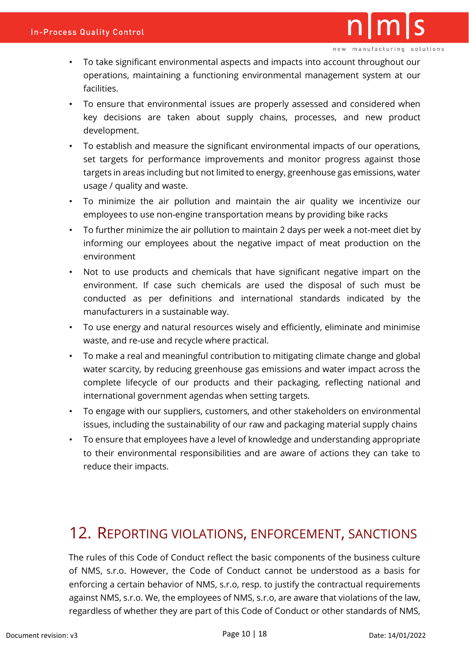- To take significant environmental aspects and impacts into account throughout our operations, maintaining a functioning environmental management system at our facilities.
- To ensure that environmental issues are properly assessed and considered when key decisions are taken about supply chains, processes, and new product development.
- To establish and measure the significant environmental impacts of our operations, set targets for performance improvements and monitor progress against those targets in areas including but not limited to energy, greenhouse gas emissions, water usage / quality and waste.
- To minimize the air pollution and maintain the air quality we incentivize our employees to use non-engine transportation means by providing bike racks
- To further minimize the air pollution to maintain 2 days per week a not-meet diet by informing our employees about the negative impact of meat production on the environment
- Not to use products and chemicals that have significant negative impart on the environment. If case such chemicals are used the disposal of such must be conducted as per definitions and international standards indicated by the manufacturers in a sustainable way.
- To use energy and natural resources wisely and efficiently, eliminate and minimise waste, and re-use and recycle where practical.
- To make a real and meaningful contribution to mitigating climate change and global water scarcity, by reducing greenhouse gas emissions and water impact across the complete lifecycle of our products and their packaging, reflecting national and international government agendas when setting targets.
- To engage with our suppliers, customers, and other stakeholders on environmental issues, including the sustainability of our raw and packaging material supply chains
- To ensure that employees have a level of knowledge and understanding appropriate to their environmental responsibilities and are aware of actions they can take to reduce their impacts.

### <span id="page-9-0"></span>12. REPORTING VIOLATIONS, ENFORCEMENT, SANCTIONS

The rules of this Code of Conduct reflect the basic components of the business culture of NMS, s.r.o. However, the Code of Conduct cannot be understood as a basis for enforcing a certain behavior of NMS, s.r.o, resp. to justify the contractual requirements against NMS, s.r.o. We, the employees of NMS, s.r.o, are aware that violations of the law, regardless of whether they are part of this Code of Conduct or other standards of NMS,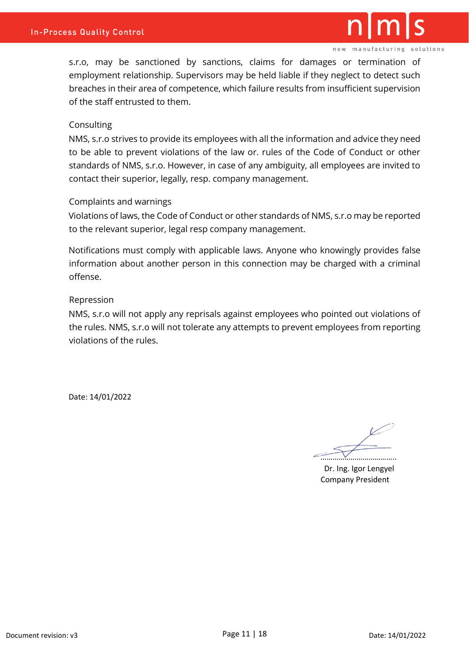

s.r.o, may be sanctioned by sanctions, claims for damages or termination of employment relationship. Supervisors may be held liable if they neglect to detect such breaches in their area of competence, which failure results from insufficient supervision of the staff entrusted to them.

#### **Consulting**

NMS, s.r.o strives to provide its employees with all the information and advice they need to be able to prevent violations of the law or. rules of the Code of Conduct or other standards of NMS, s.r.o. However, in case of any ambiguity, all employees are invited to contact their superior, legally, resp. company management.

#### Complaints and warnings

Violations of laws, the Code of Conduct or other standards of NMS, s.r.o may be reported to the relevant superior, legal resp company management.

Notifications must comply with applicable laws. Anyone who knowingly provides false information about another person in this connection may be charged with a criminal offense.

#### Repression

NMS, s.r.o will not apply any reprisals against employees who pointed out violations of the rules. NMS, s.r.o will not tolerate any attempts to prevent employees from reporting violations of the rules.

Date: 14/01/2022

………………………………..

Dr. Ing. Igor Lengyel Company President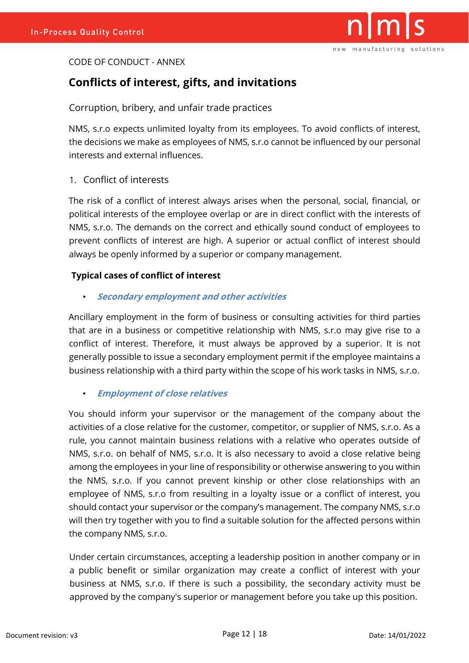

#### CODE OF CONDUCT - ANNEX

#### **Conflicts of interest, gifts, and invitations**

Corruption, bribery, and unfair trade practices

NMS, s.r.o expects unlimited loyalty from its employees. To avoid conflicts of interest, the decisions we make as employees of NMS, s.r.o cannot be influenced by our personal interests and external influences.

1. Conflict of interests

The risk of a conflict of interest always arises when the personal, social, financial, or political interests of the employee overlap or are in direct conflict with the interests of NMS, s.r.o. The demands on the correct and ethically sound conduct of employees to prevent conflicts of interest are high. A superior or actual conflict of interest should always be openly informed by a superior or company management.

#### **Typical cases of conflict of interest**

• **Secondary employment and other activities**

Ancillary employment in the form of business or consulting activities for third parties that are in a business or competitive relationship with NMS, s.r.o may give rise to a conflict of interest. Therefore, it must always be approved by a superior. It is not generally possible to issue a secondary employment permit if the employee maintains a business relationship with a third party within the scope of his work tasks in NMS, s.r.o.

#### • **Employment of close relatives**

You should inform your supervisor or the management of the company about the activities of a close relative for the customer, competitor, or supplier of NMS, s.r.o. As a rule, you cannot maintain business relations with a relative who operates outside of NMS, s.r.o. on behalf of NMS, s.r.o. It is also necessary to avoid a close relative being among the employees in your line of responsibility or otherwise answering to you within the NMS, s.r.o. If you cannot prevent kinship or other close relationships with an employee of NMS, s.r.o from resulting in a loyalty issue or a conflict of interest, you should contact your supervisor or the company's management. The company NMS, s.r.o will then try together with you to find a suitable solution for the affected persons within the company NMS, s.r.o.

Under certain circumstances, accepting a leadership position in another company or in a public benefit or similar organization may create a conflict of interest with your business at NMS, s.r.o. If there is such a possibility, the secondary activity must be approved by the company's superior or management before you take up this position.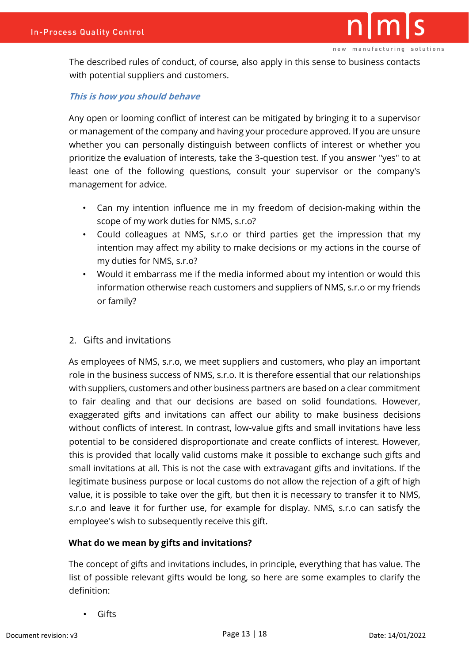The described rules of conduct, of course, also apply in this sense to business contacts with potential suppliers and customers.

#### **This is how you should behave**

Any open or looming conflict of interest can be mitigated by bringing it to a supervisor or management of the company and having your procedure approved. If you are unsure whether you can personally distinguish between conflicts of interest or whether you prioritize the evaluation of interests, take the 3-question test. If you answer "yes" to at least one of the following questions, consult your supervisor or the company's management for advice.

- Can my intention influence me in my freedom of decision-making within the scope of my work duties for NMS, s.r.o?
- Could colleagues at NMS, s.r.o or third parties get the impression that my intention may affect my ability to make decisions or my actions in the course of my duties for NMS, s.r.o?
- Would it embarrass me if the media informed about my intention or would this information otherwise reach customers and suppliers of NMS, s.r.o or my friends or family?

#### 2. Gifts and invitations

As employees of NMS, s.r.o, we meet suppliers and customers, who play an important role in the business success of NMS, s.r.o. It is therefore essential that our relationships with suppliers, customers and other business partners are based on a clear commitment to fair dealing and that our decisions are based on solid foundations. However, exaggerated gifts and invitations can affect our ability to make business decisions without conflicts of interest. In contrast, low-value gifts and small invitations have less potential to be considered disproportionate and create conflicts of interest. However, this is provided that locally valid customs make it possible to exchange such gifts and small invitations at all. This is not the case with extravagant gifts and invitations. If the legitimate business purpose or local customs do not allow the rejection of a gift of high value, it is possible to take over the gift, but then it is necessary to transfer it to NMS, s.r.o and leave it for further use, for example for display. NMS, s.r.o can satisfy the employee's wish to subsequently receive this gift.

#### **What do we mean by gifts and invitations?**

The concept of gifts and invitations includes, in principle, everything that has value. The list of possible relevant gifts would be long, so here are some examples to clarify the definition:

• Gifts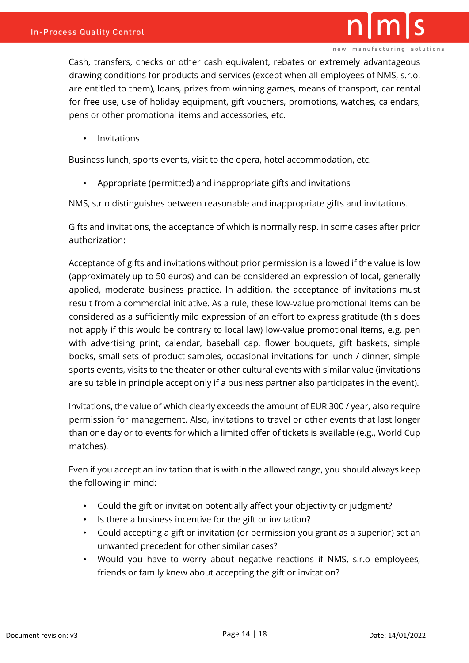Cash, transfers, checks or other cash equivalent, rebates or extremely advantageous drawing conditions for products and services (except when all employees of NMS, s.r.o. are entitled to them), loans, prizes from winning games, means of transport, car rental for free use, use of holiday equipment, gift vouchers, promotions, watches, calendars, pens or other promotional items and accessories, etc.

• Invitations

Business lunch, sports events, visit to the opera, hotel accommodation, etc.

• Appropriate (permitted) and inappropriate gifts and invitations

NMS, s.r.o distinguishes between reasonable and inappropriate gifts and invitations.

Gifts and invitations, the acceptance of which is normally resp. in some cases after prior authorization:

Acceptance of gifts and invitations without prior permission is allowed if the value is low (approximately up to 50 euros) and can be considered an expression of local, generally applied, moderate business practice. In addition, the acceptance of invitations must result from a commercial initiative. As a rule, these low-value promotional items can be considered as a sufficiently mild expression of an effort to express gratitude (this does not apply if this would be contrary to local law) low-value promotional items, e.g. pen with advertising print, calendar, baseball cap, flower bouquets, gift baskets, simple books, small sets of product samples, occasional invitations for lunch / dinner, simple sports events, visits to the theater or other cultural events with similar value (invitations are suitable in principle accept only if a business partner also participates in the event).

Invitations, the value of which clearly exceeds the amount of EUR 300 / year, also require permission for management. Also, invitations to travel or other events that last longer than one day or to events for which a limited offer of tickets is available (e.g., World Cup matches).

Even if you accept an invitation that is within the allowed range, you should always keep the following in mind:

- Could the gift or invitation potentially affect your objectivity or judgment?
- Is there a business incentive for the gift or invitation?
- Could accepting a gift or invitation (or permission you grant as a superior) set an unwanted precedent for other similar cases?
- Would you have to worry about negative reactions if NMS, s.r.o employees, friends or family knew about accepting the gift or invitation?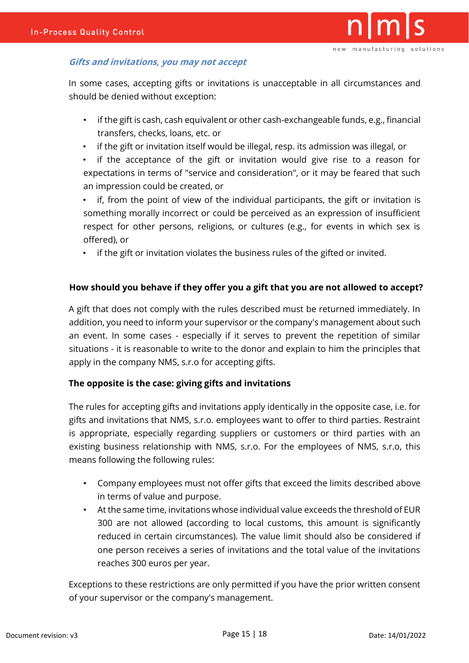

#### **Gifts and invitations, you may not accept**

In some cases, accepting gifts or invitations is unacceptable in all circumstances and should be denied without exception:

- if the gift is cash, cash equivalent or other cash-exchangeable funds, e.g., financial transfers, checks, loans, etc. or
- if the gift or invitation itself would be illegal, resp. its admission was illegal, or
- if the acceptance of the gift or invitation would give rise to a reason for expectations in terms of "service and consideration", or it may be feared that such an impression could be created, or

• if, from the point of view of the individual participants, the gift or invitation is something morally incorrect or could be perceived as an expression of insufficient respect for other persons, religions, or cultures (e.g., for events in which sex is offered), or

• if the gift or invitation violates the business rules of the gifted or invited.

#### **How should you behave if they offer you a gift that you are not allowed to accept?**

A gift that does not comply with the rules described must be returned immediately. In addition, you need to inform your supervisor or the company's management about such an event. In some cases - especially if it serves to prevent the repetition of similar situations - it is reasonable to write to the donor and explain to him the principles that apply in the company NMS, s.r.o for accepting gifts.

#### **The opposite is the case: giving gifts and invitations**

The rules for accepting gifts and invitations apply identically in the opposite case, i.e. for gifts and invitations that NMS, s.r.o. employees want to offer to third parties. Restraint is appropriate, especially regarding suppliers or customers or third parties with an existing business relationship with NMS, s.r.o. For the employees of NMS, s.r.o, this means following the following rules:

- Company employees must not offer gifts that exceed the limits described above in terms of value and purpose.
- At the same time, invitations whose individual value exceeds the threshold of EUR 300 are not allowed (according to local customs, this amount is significantly reduced in certain circumstances). The value limit should also be considered if one person receives a series of invitations and the total value of the invitations reaches 300 euros per year.

Exceptions to these restrictions are only permitted if you have the prior written consent of your supervisor or the company's management.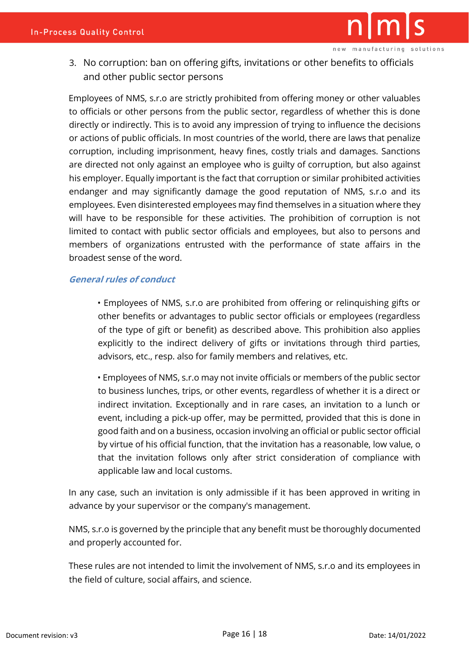

3. No corruption: ban on offering gifts, invitations or other benefits to officials and other public sector persons

Employees of NMS, s.r.o are strictly prohibited from offering money or other valuables to officials or other persons from the public sector, regardless of whether this is done directly or indirectly. This is to avoid any impression of trying to influence the decisions or actions of public officials. In most countries of the world, there are laws that penalize corruption, including imprisonment, heavy fines, costly trials and damages. Sanctions are directed not only against an employee who is guilty of corruption, but also against his employer. Equally important is the fact that corruption or similar prohibited activities endanger and may significantly damage the good reputation of NMS, s.r.o and its employees. Even disinterested employees may find themselves in a situation where they will have to be responsible for these activities. The prohibition of corruption is not limited to contact with public sector officials and employees, but also to persons and members of organizations entrusted with the performance of state affairs in the broadest sense of the word.

#### **General rules of conduct**

• Employees of NMS, s.r.o are prohibited from offering or relinquishing gifts or other benefits or advantages to public sector officials or employees (regardless of the type of gift or benefit) as described above. This prohibition also applies explicitly to the indirect delivery of gifts or invitations through third parties, advisors, etc., resp. also for family members and relatives, etc.

• Employees of NMS, s.r.o may not invite officials or members of the public sector to business lunches, trips, or other events, regardless of whether it is a direct or indirect invitation. Exceptionally and in rare cases, an invitation to a lunch or event, including a pick-up offer, may be permitted, provided that this is done in good faith and on a business, occasion involving an official or public sector official by virtue of his official function, that the invitation has a reasonable, low value, o that the invitation follows only after strict consideration of compliance with applicable law and local customs.

In any case, such an invitation is only admissible if it has been approved in writing in advance by your supervisor or the company's management.

NMS, s.r.o is governed by the principle that any benefit must be thoroughly documented and properly accounted for.

These rules are not intended to limit the involvement of NMS, s.r.o and its employees in the field of culture, social affairs, and science.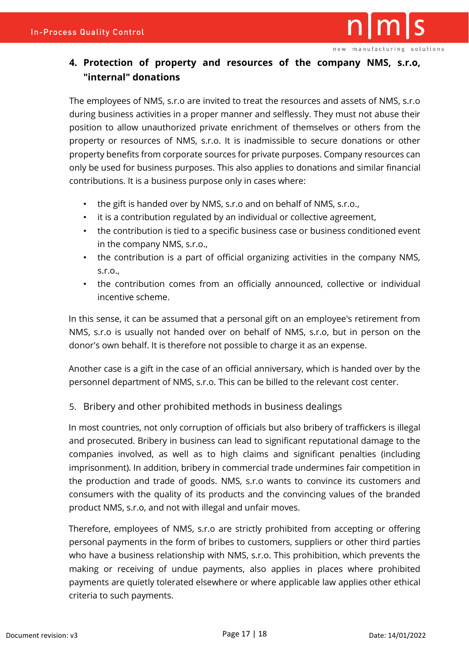

#### **4. Protection of property and resources of the company NMS, s.r.o, "internal" donations**

The employees of NMS, s.r.o are invited to treat the resources and assets of NMS, s.r.o during business activities in a proper manner and selflessly. They must not abuse their position to allow unauthorized private enrichment of themselves or others from the property or resources of NMS, s.r.o. It is inadmissible to secure donations or other property benefits from corporate sources for private purposes. Company resources can only be used for business purposes. This also applies to donations and similar financial contributions. It is a business purpose only in cases where:

- the gift is handed over by NMS, s.r.o and on behalf of NMS, s.r.o.,
- it is a contribution regulated by an individual or collective agreement,
- the contribution is tied to a specific business case or business conditioned event in the company NMS, s.r.o.,
- the contribution is a part of official organizing activities in the company NMS, s.r.o.,
- the contribution comes from an officially announced, collective or individual incentive scheme.

In this sense, it can be assumed that a personal gift on an employee's retirement from NMS, s.r.o is usually not handed over on behalf of NMS, s.r.o, but in person on the donor's own behalf. It is therefore not possible to charge it as an expense.

Another case is a gift in the case of an official anniversary, which is handed over by the personnel department of NMS, s.r.o. This can be billed to the relevant cost center.

#### 5. Bribery and other prohibited methods in business dealings

In most countries, not only corruption of officials but also bribery of traffickers is illegal and prosecuted. Bribery in business can lead to significant reputational damage to the companies involved, as well as to high claims and significant penalties (including imprisonment). In addition, bribery in commercial trade undermines fair competition in the production and trade of goods. NMS, s.r.o wants to convince its customers and consumers with the quality of its products and the convincing values of the branded product NMS, s.r.o, and not with illegal and unfair moves.

Therefore, employees of NMS, s.r.o are strictly prohibited from accepting or offering personal payments in the form of bribes to customers, suppliers or other third parties who have a business relationship with NMS, s.r.o. This prohibition, which prevents the making or receiving of undue payments, also applies in places where prohibited payments are quietly tolerated elsewhere or where applicable law applies other ethical criteria to such payments.